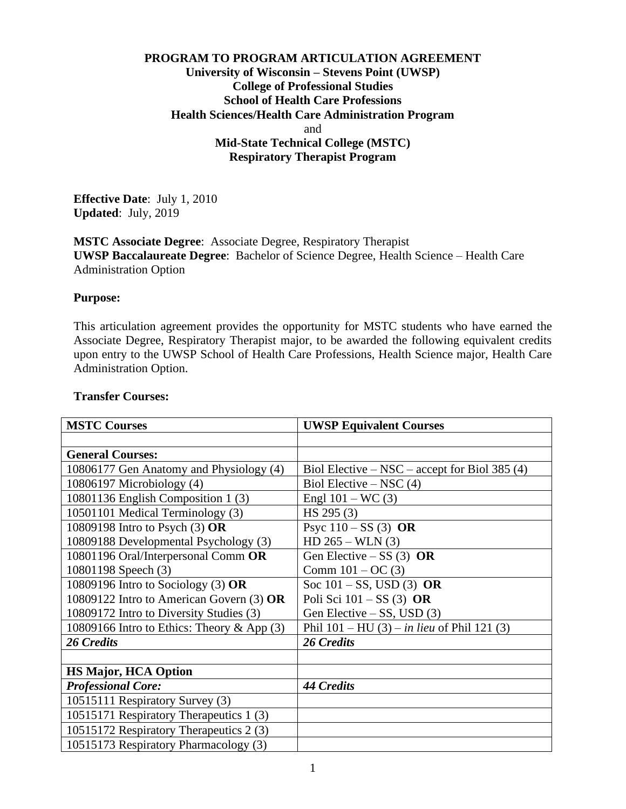## **PROGRAM TO PROGRAM ARTICULATION AGREEMENT University of Wisconsin – Stevens Point (UWSP) College of Professional Studies School of Health Care Professions Health Sciences/Health Care Administration Program** and **Mid-State Technical College (MSTC) Respiratory Therapist Program**

**Effective Date**: July 1, 2010 **Updated**: July, 2019

**MSTC Associate Degree**: Associate Degree, Respiratory Therapist **UWSP Baccalaureate Degree**: Bachelor of Science Degree, Health Science – Health Care Administration Option

#### **Purpose:**

This articulation agreement provides the opportunity for MSTC students who have earned the Associate Degree, Respiratory Therapist major, to be awarded the following equivalent credits upon entry to the UWSP School of Health Care Professions, Health Science major, Health Care Administration Option.

### 1 **MSTC Courses UWSP Equivalent Courses General Courses:** 10806177 Gen Anatomy and Physiology  $(4)$  Biol Elective – NSC – accept for Biol 385  $(4)$ 10806197 Microbiology (4) Biol Elective – NSC (4) 10801136 English Composition 1 (3) Engl 101 – WC (3) 10501101 Medical Terminology (3) HS 295 (3) 10809198 Intro to Psych (3) **OR** 10809188 Developmental Psychology (3) Psyc 110 – SS (3) **OR**  $HD 265 - WLN (3)$ 10801196 Oral/Interpersonal Comm **OR** 10801198 Speech (3) Gen Elective – SS (3) **OR** Comm  $101 - OC(3)$ 10809196 Intro to Sociology (3) **OR** 10809122 Intro to American Govern (3) **OR** 10809172 Intro to Diversity Studies (3) Soc 101 – SS, USD (3) **OR** Poli Sci 101 – SS (3) **OR** Gen Elective – SS, USD  $(3)$ 10809166 Intro to Ethics: Theory & App (3) Phil 101 – HU (3) – *in lieu* of Phil 121 (3) *26 Credits 26 Credits* **HS Major, HCA Option** *Professional Core: 44 Credits* 10515111 Respiratory Survey (3) 10515171 Respiratory Therapeutics 1 (3) 10515172 Respiratory Therapeutics 2 (3) 10515173 Respiratory Pharmacology (3)

#### **Transfer Courses:**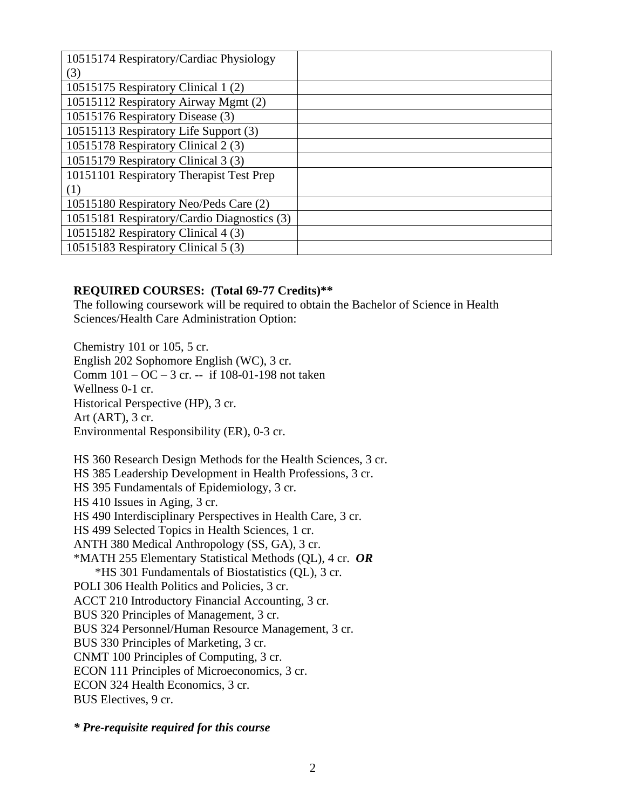| 10515174 Respiratory/Cardiac Physiology     |  |
|---------------------------------------------|--|
| (3)                                         |  |
| 10515175 Respiratory Clinical 1 (2)         |  |
| 10515112 Respiratory Airway Mgmt (2)        |  |
| 10515176 Respiratory Disease (3)            |  |
| 10515113 Respiratory Life Support (3)       |  |
| 10515178 Respiratory Clinical 2 (3)         |  |
| 10515179 Respiratory Clinical 3 (3)         |  |
| 10151101 Respiratory Therapist Test Prep    |  |
| (1)                                         |  |
| 10515180 Respiratory Neo/Peds Care (2)      |  |
| 10515181 Respiratory/Cardio Diagnostics (3) |  |
| 10515182 Respiratory Clinical 4 (3)         |  |
| 10515183 Respiratory Clinical 5 (3)         |  |

#### **REQUIRED COURSES: (Total 69-77 Credits)\*\***

The following coursework will be required to obtain the Bachelor of Science in Health Sciences/Health Care Administration Option:

Chemistry 101 or 105, 5 cr. English 202 Sophomore English (WC), 3 cr. Comm  $101 - OC - 3$  cr. -- if 108-01-198 not taken Wellness 0-1 cr. Historical Perspective (HP), 3 cr. Art (ART), 3 cr. Environmental Responsibility (ER), 0-3 cr.

HS 360 Research Design Methods for the Health Sciences, 3 cr. HS 385 Leadership Development in Health Professions, 3 cr. HS 395 Fundamentals of Epidemiology, 3 cr. HS 410 Issues in Aging, 3 cr. HS 490 Interdisciplinary Perspectives in Health Care, 3 cr. HS 499 Selected Topics in Health Sciences, 1 cr. ANTH 380 Medical Anthropology (SS, GA), 3 cr. \*MATH 255 Elementary Statistical Methods (QL), 4 cr. *OR* \*HS 301 Fundamentals of Biostatistics (QL), 3 cr. POLI 306 Health Politics and Policies, 3 cr. ACCT 210 Introductory Financial Accounting, 3 cr. BUS 320 Principles of Management, 3 cr. BUS 324 Personnel/Human Resource Management, 3 cr. BUS 330 Principles of Marketing, 3 cr. CNMT 100 Principles of Computing, 3 cr. ECON 111 Principles of Microeconomics, 3 cr. ECON 324 Health Economics, 3 cr. BUS Electives, 9 cr.

*\* Pre-requisite required for this course*